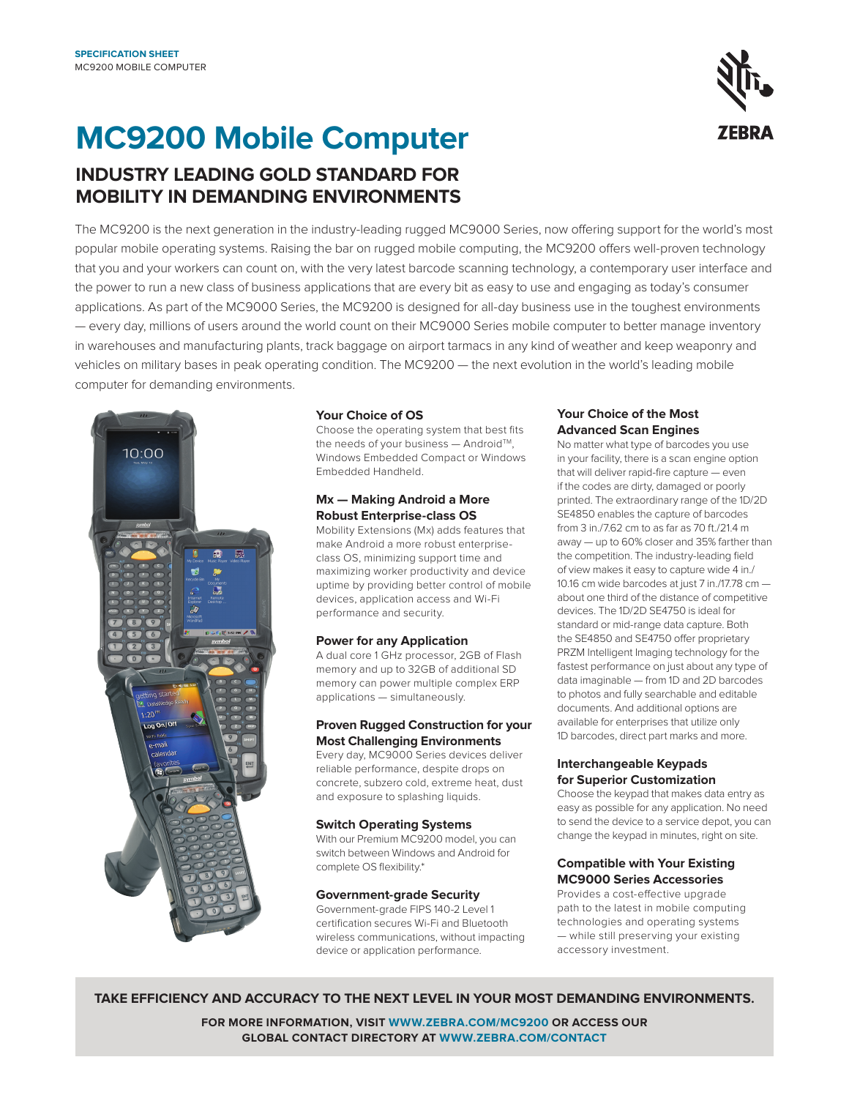# **EBRA**

## **MC9200 Mobile Computer**

### **INDUSTRY LEADING GOLD STANDARD FOR MOBILITY IN DEMANDING ENVIRONMENTS**

The MC9200 is the next generation in the industry-leading rugged MC9000 Series, now offering support for the world's most popular mobile operating systems. Raising the bar on rugged mobile computing, the MC9200 offers well-proven technology that you and your workers can count on, with the very latest barcode scanning technology, a contemporary user interface and the power to run a new class of business applications that are every bit as easy to use and engaging as today's consumer applications. As part of the MC9000 Series, the MC9200 is designed for all-day business use in the toughest environments — every day, millions of users around the world count on their MC9000 Series mobile computer to better manage inventory in warehouses and manufacturing plants, track baggage on airport tarmacs in any kind of weather and keep weaponry and vehicles on military bases in peak operating condition. The MC9200 — the next evolution in the world's leading mobile computer for demanding environments.



### **Your Choice of OS**

Choose the operating system that best fits the needs of your business - Android™, Windows Embedded Compact or Windows Embedded Handheld.

### **Mx — Making Android a More Robust Enterprise-class OS**

Mobility Extensions (Mx) adds features that make Android a more robust enterpriseclass OS, minimizing support time and maximizing worker productivity and device uptime by providing better control of mobile devices, application access and Wi-Fi performance and security.

### **Power for any Application**

A dual core 1 GHz processor, 2GB of Flash memory and up to 32GB of additional SD memory can power multiple complex ERP applications — simultaneously.

### **Proven Rugged Construction for your Most Challenging Environments**

Every day, MC9000 Series devices deliver reliable performance, despite drops on concrete, subzero cold, extreme heat, dust and exposure to splashing liquids.

### **Switch Operating Systems**

With our Premium MC9200 model, you can switch between Windows and Android for complete OS flexibility.\*

### **Government-grade Security**

Government-grade FIPS 140-2 Level 1 certification secures Wi-Fi and Bluetooth wireless communications, without impacting device or application performance.

### **Your Choice of the Most Advanced Scan Engines**

No matter what type of barcodes you use in your facility, there is a scan engine option that will deliver rapid-fire capture — even if the codes are dirty, damaged or poorly printed. The extraordinary range of the 1D/2D SE4850 enables the capture of barcodes from 3 in./7.62 cm to as far as 70 ft./21.4 m away — up to 60% closer and 35% farther than the competition. The industry-leading field of view makes it easy to capture wide 4 in./ 10.16 cm wide barcodes at just 7 in./17.78 cm about one third of the distance of competitive devices. The 1D/2D SE4750 is ideal for standard or mid-range data capture. Both the SE4850 and SE4750 offer proprietary PRZM Intelligent Imaging technology for the fastest performance on just about any type of data imaginable — from 1D and 2D barcodes to photos and fully searchable and editable documents. And additional options are available for enterprises that utilize only 1D barcodes, direct part marks and more.

### **Interchangeable Keypads for Superior Customization**

Choose the keypad that makes data entry as easy as possible for any application. No need to send the device to a service depot, you can change the keypad in minutes, right on site.

### **Compatible with Your Existing MC9000 Series Accessories**

Provides a cost-effective upgrade path to the latest in mobile computing technologies and operating systems — while still preserving your existing accessory investment.

### **TAKE EFFICIENCY AND ACCURACY TO THE NEXT LEVEL IN YOUR MOST DEMANDING ENVIRONMENTS.**

**FOR MORE INFORMATION, VISIT [WWW.ZEBRA.COM/M](http://www.zebra.com/mc9200)C9200 OR ACCESS OUR GLOBAL CONTACT DIRECTORY AT [WWW.ZEBRA.COM/CONTACT](http://www.zebra.com/contact)**